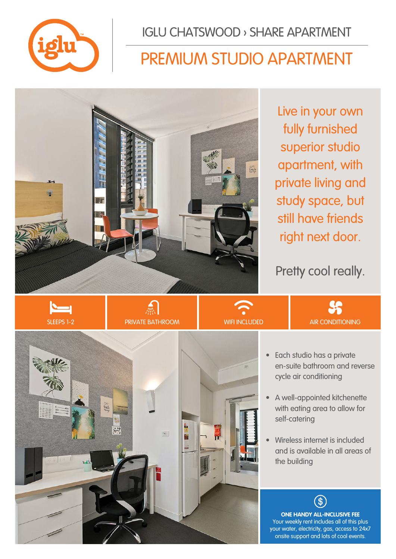

IGLU CHATSWOOD › SHARE APARTMENT

## PREMIUM STUDIO APARTMENT



Live in your own fully furnished superior studio apartment, with private living and study space, but still have friends right next door.

Pretty cool really.









**LS** 

- A well-appointed kitchenette with eating area to allow for self-catering
- Wireless internet is included and is available in all areas of the building

**ONE HANDY ALL-INCLUSIVE FEE** Your weekly rent includes all of this plus your water, electricity, gas, access to 24x7 onsite support and lots of cool events.

 $\Im$